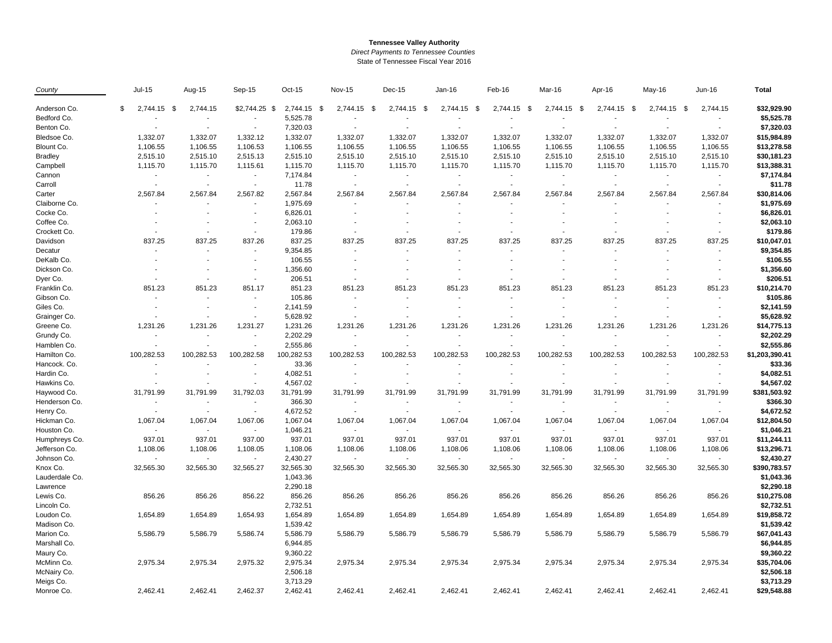## **Tennessee Valley Authority**

*Direct Payments to Tennessee Counties*

State of Tennessee Fiscal Year 2016

| County         | $Jul-15$                      | Aug-15                   | Sep-15                   | Oct-15      | <b>Nov-15</b>            | Dec-15                   | Jan-16                   | Feb-16                   | Mar-16                   | Apr-16                   | May-16                   | Jun-16                   | <b>Total</b>   |
|----------------|-------------------------------|--------------------------|--------------------------|-------------|--------------------------|--------------------------|--------------------------|--------------------------|--------------------------|--------------------------|--------------------------|--------------------------|----------------|
| Anderson Co.   | $\mathfrak{S}$<br>2,744.15 \$ | 2,744.15                 | $$2,744.25$ \$           | 2,744.15 \$ | 2,744.15                 | - \$<br>2,744.15 \$      | 2,744.15 \$              | 2,744.15 \$              | 2,744.15 \$              | 2,744.15 \$              | 2,744.15 \$              | 2,744.15                 | \$32,929.90    |
| Bedford Co.    |                               |                          |                          | 5,525.78    |                          |                          |                          |                          |                          |                          |                          |                          | \$5,525.78     |
| Benton Co.     |                               | ÷,                       |                          | 7,320.03    |                          |                          |                          |                          |                          |                          |                          |                          | \$7,320.03     |
| Bledsoe Co.    | 1,332.07                      | 1,332.07                 | 1,332.12                 | 1,332.07    | 1,332.07                 | 1,332.07                 | 1,332.07                 | 1,332.07                 | 1,332.07                 | 1,332.07                 | 1,332.07                 | 1,332.07                 | \$15,984.89    |
| Blount Co.     | 1,106.55                      | 1,106.55                 | 1,106.53                 | 1,106.55    | 1,106.55                 | 1,106.55                 | 1,106.55                 | 1,106.55                 | 1,106.55                 | 1,106.55                 | 1,106.55                 | 1,106.55                 | \$13,278.58    |
| <b>Bradley</b> | 2,515.10                      | 2,515.10                 | 2,515.13                 | 2,515.10    | 2,515.10                 | 2,515.10                 | 2,515.10                 | 2,515.10                 | 2,515.10                 | 2,515.10                 | 2,515.10                 | 2,515.10                 | \$30,181.23    |
| Campbell       | 1,115.70                      | 1,115.70                 | 1,115.61                 | 1,115.70    | 1,115.70                 | 1,115.70                 | 1,115.70                 | 1,115.70                 | 1,115.70                 | 1,115.70                 | 1,115.70                 | 1,115.70                 | \$13,388.31    |
| Cannon         | $\blacksquare$                | $\sim$                   | $\sim$                   | 7,174.84    | $\blacksquare$           |                          | $\overline{\phantom{a}}$ | $\blacksquare$           | $\blacksquare$           | $\blacksquare$           | $\overline{a}$           |                          | \$7,174.84     |
| Carroll        | $\overline{\phantom{a}}$      | $\sim$                   | $\sim$                   | 11.78       | $\overline{\phantom{a}}$ |                          |                          | $\sim$                   | $\sim$                   | $\overline{\phantom{a}}$ |                          |                          | \$11.78        |
| Carter         | 2,567.84                      | 2,567.84                 | 2,567.82                 | 2,567.84    | 2,567.84                 | 2,567.84                 | 2,567.84                 | 2,567.84                 | 2,567.84                 | 2,567.84                 | 2,567.84                 | 2,567.84                 | \$30,814.06    |
| Claiborne Co.  | $\blacksquare$                |                          |                          | 1,975.69    |                          |                          |                          |                          |                          |                          |                          |                          | \$1,975.69     |
| Cocke Co.      |                               | $\sim$                   |                          | 6,826.01    |                          |                          |                          |                          |                          |                          |                          |                          | \$6,826.01     |
| Coffee Co.     | $\overline{\phantom{a}}$      | $\overline{\phantom{a}}$ |                          | 2,063.10    | $\overline{\phantom{a}}$ |                          |                          | $\overline{\phantom{a}}$ | ٠                        |                          |                          |                          | \$2,063.10     |
| Crockett Co.   | $\sim$                        | $\sim$                   | $\sim$                   | 179.86      | $\sim$                   |                          |                          |                          |                          |                          |                          |                          | \$179.86       |
| Davidson       | 837.25                        | 837.25                   | 837.26                   | 837.25      | 837.25                   | 837.25                   | 837.25                   | 837.25                   | 837.25                   | 837.25                   | 837.25                   | 837.25                   | \$10,047.01    |
| Decatur        | $\blacksquare$                | ä,                       | $\sim$                   | 9,354.85    | $\sim$                   |                          |                          |                          |                          |                          | $\blacksquare$           |                          | \$9,354.85     |
| DeKalb Co.     | $\overline{\phantom{a}}$      | $\blacksquare$           | $\overline{\phantom{a}}$ | 106.55      | $\overline{\phantom{a}}$ |                          | ä,                       |                          | ÷                        |                          | ä,                       |                          | \$106.55       |
| Dickson Co.    |                               |                          |                          | 1,356.60    |                          |                          |                          |                          |                          |                          |                          |                          | \$1,356.60     |
| Dyer Co.       |                               |                          | $\blacksquare$           | 206.51      | $\overline{\phantom{a}}$ |                          |                          |                          |                          |                          |                          |                          | \$206.51       |
| Franklin Co.   | 851.23                        | 851.23                   | 851.17                   | 851.23      | 851.23                   | 851.23                   | 851.23                   | 851.23                   | 851.23                   | 851.23                   | 851.23                   | 851.23                   | \$10,214.70    |
| Gibson Co.     | $\overline{\phantom{a}}$      | ÷,                       |                          | 105.86      | $\overline{\phantom{a}}$ |                          |                          |                          |                          |                          |                          |                          | \$105.86       |
| Giles Co.      | $\overline{\phantom{a}}$      | $\overline{\phantom{a}}$ | $\sim$                   | 2,141.59    | $\overline{\phantom{a}}$ | $\overline{\phantom{a}}$ | ٠                        | $\overline{\phantom{a}}$ | $\overline{a}$           |                          | ÷                        | $\overline{\phantom{a}}$ | \$2,141.59     |
| Grainger Co.   |                               |                          |                          | 5,628.92    |                          |                          |                          |                          |                          |                          |                          |                          | \$5,628.92     |
| Greene Co.     | 1,231.26                      | 1,231.26                 | 1,231.27                 | 1,231.26    | 1,231.26                 | 1,231.26                 | 1,231.26                 | 1,231.26                 | 1,231.26                 | 1,231.26                 | 1,231.26                 | 1,231.26                 | \$14,775.13    |
| Grundy Co.     | $\blacksquare$                | ä,                       |                          | 2,202.29    | $\overline{\phantom{a}}$ |                          | $\sim$                   |                          | $\sim$                   |                          | $\overline{\phantom{a}}$ | $\sim$                   | \$2,202.29     |
| Hamblen Co.    | $\overline{a}$                |                          |                          | 2,555.86    | $\blacksquare$           |                          |                          |                          |                          |                          |                          |                          | \$2,555.86     |
| Hamilton Co.   | 100,282.53                    | 100,282.53               | 100,282.58               | 100,282.53  | 100,282.53               | 100,282.53               | 100,282.53               | 100,282.53               | 100,282.53               | 100,282.53               | 100,282.53               | 100,282.53               | \$1,203,390.41 |
| Hancock. Co.   |                               |                          |                          | 33.36       |                          |                          |                          |                          |                          |                          |                          |                          | \$33.36        |
| Hardin Co.     | $\blacksquare$                |                          |                          | 4,082.51    |                          |                          |                          |                          |                          |                          |                          |                          | \$4,082.51     |
| Hawkins Co.    |                               |                          |                          | 4,567.02    |                          |                          |                          |                          |                          |                          |                          |                          | \$4,567.02     |
| Haywood Co.    | 31,791.99                     | 31,791.99                | 31,792.03                | 31,791.99   | 31,791.99                | 31,791.99                | 31,791.99                | 31,791.99                | 31,791.99                | 31,791.99                | 31,791.99                | 31,791.99                | \$381,503.92   |
| Henderson Co.  | $\overline{\phantom{a}}$      | $\overline{\phantom{a}}$ |                          | 366.30      | $\overline{\phantom{a}}$ |                          | $\overline{\phantom{a}}$ |                          | $\overline{\phantom{a}}$ | $\overline{\phantom{a}}$ | $\blacksquare$           |                          | \$366.30       |
| Henry Co.      | $\sim$                        | ÷                        | $\sim$                   | 4,672.52    | ÷.                       |                          | ÷                        |                          |                          | $\sim$                   | $\overline{a}$           |                          | \$4,672.52     |
| Hickman Co.    | 1,067.04                      | 1,067.04                 | 1,067.06                 | 1,067.04    | 1,067.04                 | 1,067.04                 | 1,067.04                 | 1,067.04                 | 1,067.04                 | 1,067.04                 | 1,067.04                 | 1,067.04                 | \$12,804.50    |
| Houston Co.    | $\sim$                        | $\sim$                   | $\sim$                   | 1,046.21    | $\sim$                   |                          | ÷.                       | $\sim$                   | ÷                        | $\mathbf{r}$             | $\sim$                   |                          | \$1,046.21     |
| Humphreys Co.  | 937.01                        | 937.01                   | 937.00                   | 937.01      | 937.01                   | 937.01                   | 937.01                   | 937.01                   | 937.01                   | 937.01                   | 937.01                   | 937.01                   | \$11,244.11    |
| Jefferson Co.  | 1,108.06                      | 1,108.06                 | 1,108.05                 | 1,108.06    | 1,108.06                 | 1,108.06                 | 1,108.06                 | 1,108.06                 | 1,108.06                 | 1,108.06                 | 1,108.06                 | 1,108.06                 | \$13,296.71    |
| Johnson Co.    | $\sim$                        | ÷                        |                          | 2,430.27    | $\overline{\phantom{a}}$ |                          | $\sim$                   | $\sim$                   |                          | $\sim$                   | ä,                       |                          | \$2,430.27     |
| Knox Co.       | 32,565.30                     | 32,565.30                | 32,565.27                | 32,565.30   | 32,565.30                | 32,565.30                | 32,565.30                | 32,565.30                | 32,565.30                | 32,565.30                | 32,565.30                | 32,565.30                | \$390,783.57   |
| Lauderdale Co. |                               |                          |                          | 1,043.36    |                          |                          |                          |                          |                          |                          |                          |                          | \$1,043.36     |
| Lawrence       |                               |                          |                          | 2,290.18    |                          |                          |                          |                          |                          |                          |                          |                          | \$2,290.18     |
| Lewis Co.      | 856.26                        | 856.26                   | 856.22                   | 856.26      | 856.26                   | 856.26                   | 856.26                   | 856.26                   | 856.26                   | 856.26                   | 856.26                   | 856.26                   | \$10,275.08    |
| Lincoln Co.    |                               |                          |                          | 2,732.51    |                          |                          |                          |                          |                          |                          |                          |                          | \$2,732.51     |
| Loudon Co.     | 1,654.89                      | 1,654.89                 | 1,654.93                 | 1,654.89    | 1,654.89                 | 1,654.89                 | 1,654.89                 | 1,654.89                 | 1,654.89                 | 1,654.89                 | 1,654.89                 | 1,654.89                 | \$19,858.72    |
| Madison Co.    |                               |                          |                          | 1,539.42    |                          |                          |                          |                          |                          |                          |                          |                          | \$1,539.42     |
| Marion Co.     | 5,586.79                      | 5,586.79                 | 5,586.74                 | 5,586.79    | 5,586.79                 | 5,586.79                 | 5,586.79                 | 5,586.79                 | 5,586.79                 | 5,586.79                 | 5,586.79                 | 5,586.79                 | \$67,041.43    |
| Marshall Co.   |                               |                          |                          | 6,944.85    |                          |                          |                          |                          |                          |                          |                          |                          | \$6,944.85     |
| Maury Co.      |                               |                          |                          | 9,360.22    |                          |                          |                          |                          |                          |                          |                          |                          | \$9,360.22     |
| McMinn Co.     | 2,975.34                      | 2,975.34                 | 2,975.32                 | 2,975.34    | 2,975.34                 | 2,975.34                 | 2,975.34                 | 2,975.34                 | 2,975.34                 | 2,975.34                 | 2,975.34                 | 2,975.34                 | \$35,704.06    |
| McNairy Co.    |                               |                          |                          | 2,506.18    |                          |                          |                          |                          |                          |                          |                          |                          | \$2,506.18     |
| Meigs Co.      |                               |                          |                          | 3,713.29    |                          |                          |                          |                          |                          |                          |                          |                          | \$3,713.29     |
| Monroe Co.     | 2,462.41                      | 2,462.41                 | 2,462.37                 | 2,462.41    | 2,462.41                 | 2.462.41                 | 2,462.41                 | 2,462.41                 | 2,462.41                 | 2,462.41                 | 2,462.41                 | 2,462.41                 | \$29,548.88    |